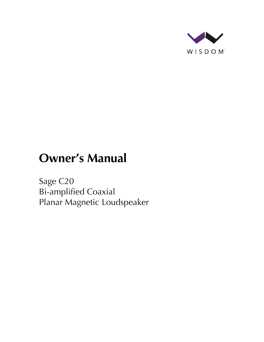

# **Owner's Manual**

Sage C20 Bi-amplified Coaxial Planar Magnetic Loudspeaker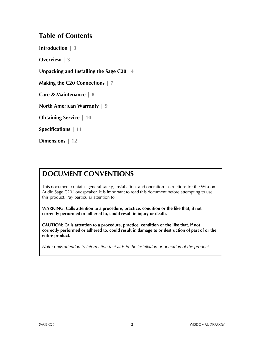### **Table of Contents**

**Introduction | 3**

**Overview | 3**

**Unpacking and Installing the Sage C20| 4**

**Making the C20 Connections | 7**

**Care & Maintenance | 8**

**North American Warranty | 9**

**Obtaining Service | 10**

**Specifications | 11**

**Dimensions | 12**

### **DOCUMENT CONVENTIONS**

This document contains general safety, installation, and operation instructions for the Wisdom Audio Sage C20 Loudspeaker. It is important to read this document before attempting to use this product. Pay particular attention to:

**WARNING: Calls attention to a procedure, practice, condition or the like that, if not correctly performed or adhered to, could result in injury or death.** 

**CAUTION: Calls attention to a procedure, practice, condition or the like that, if not correctly performed or adhered to, could result in damage to or destruction of part of or the entire product.** 

*Note: Calls attention to information that aids in the installation or operation of the product.*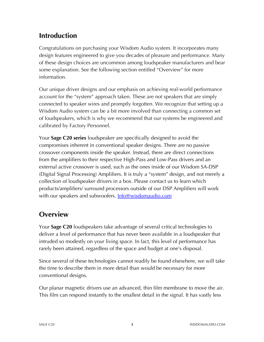# **Introduction**

Congratulations on purchasing your Wisdom Audio system. It incorporates many design features engineered to give you decades of pleasure and performance. Many of these design choices are uncommon among loudspeaker manufacturers and bear some explanation. See the following section entitled "Overview" for more information.

Our unique driver designs and our emphasis on achieving real-world performance account for the "system" approach taken. These are not speakers that are simply connected to speaker wires and promptly forgotten. We recognize that setting up a Wisdom Audio system can be a bit more involved than connecting a common set of loudspeakers, which is why we recommend that our systems be engineered and calibrated by Factory Personnel.

Your **Sage C20 series** loudspeaker are specifically designed to avoid the compromises inherent in conventional speaker designs. There are no passive crossover components inside the speaker. Instead, there are direct connections from the amplifiers to their respective High-Pass and Low-Pass drivers and an external active crossover is used, such as the ones inside of our Wisdom SA-DSP (Digital Signal Processing) Amplifiers. It is truly a "system" design, and not merely a collection of loudspeaker drivers in a box. Please contact us to learn which products/amplifiers/ surround processors outside of our DSP Amplifiers will work with our speakers and subwoofers. **Info@wisdomaudio.com** 

# **Overview**

Your **Sage C20** loudspeakers take advantage of several critical technologies to deliver a level of performance that has never been available in a loudspeaker that intruded so modestly on your living space. In fact, this level of performance has rarely been attained, regardless of the space and budget at one's disposal.

Since several of these technologies cannot readily be found elsewhere, we will take the time to describe them in more detail than would be necessary for more conventional designs.

Our planar magnetic drivers use an advanced, thin film membrane to move the air. This film can respond instantly to the smallest detail in the signal. It has vastly less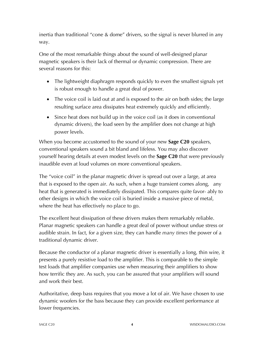inertia than traditional "cone & dome" drivers, so the signal is never blurred in any way.

One of the most remarkable things about the sound of well-designed planar magnetic speakers is their lack of thermal or dynamic compression. There are several reasons for this:

- The lightweight diaphragm responds quickly to even the smallest signals yet is robust enough to handle a great deal of power.
- The voice coil is laid out at and is exposed to the air on both sides; the large resulting surface area dissipates heat extremely quickly and efficiently.
- Since heat does not build up in the voice coil (as it does in conventional dynamic drivers), the load seen by the amplifier does not change at high power levels.

When you become accustomed to the sound of your new **Sage C20** speakers, conventional speakers sound a bit bland and lifeless. You may also discover yourself hearing details at even modest levels on the **Sage C20** that were previously inaudible even at loud volumes on more conventional speakers.

The "voice coil" in the planar magnetic driver is spread out over a large, at area that is exposed to the open air. As such, when a huge transient comes along, any heat that is generated is immediately dissipated. This compares quite favor- ably to other designs in which the voice coil is buried inside a massive piece of metal, where the heat has effectively no place to go.

The excellent heat dissipation of these drivers makes them remarkably reliable. Planar magnetic speakers can handle a great deal of power without undue stress or audible strain. In fact, for a given size, they can handle *many times* the power of a traditional dynamic driver.

Because the conductor of a planar magnetic driver is essentially a long, thin wire, it presents a purely resistive load to the amplifier. This is comparable to the simple test loads that amplifier companies use when measuring their amplifiers to show how terrific they are. As such, you can be assured that your amplifiers will sound and work their best.

Authoritative, deep bass requires that you move a lot of air. We have chosen to use dynamic woofers for the bass because they can provide excellent performance at lower frequencies.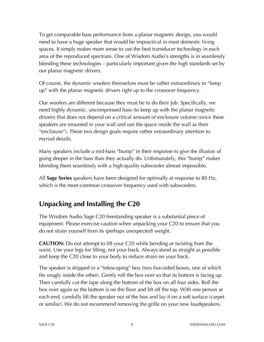To get comparable bass performance from a planar magnetic design, you would need to have a huge speaker that would be impractical in most domestic living spaces. It simply makes more sense to use the best transducer technology in each area of the reproduced spectrum. One of Wisdom Audio's strengths is in seamlessly blending these technologies – particularly important given the high standards set by our planar magnetic drivers.

Of course, the dynamic woofers themselves must be rather extraordinary to "keep up" with the planar magnetic drivers right up to the crossover frequency.

Our woofers are different because they must be to do their job. Specifically, we need highly dynamic, uncompressed bass (to keep up with the planar magnetic drivers) that does not depend on a critical amount of enclosure volume (since these speakers are mounted in your wall and use the space inside the wall as their "enclosure"). These two design goals require rather extraordinary attention to myriad details.

Many speakers include a mid-bass "bump" in their response to give the illusion of going deeper in the bass than they actually do. Unfortunately, this "bump" makes blending them seamlessly with a high-quality subwoofer almost impossible.

All **Sage Series** speakers have been designed for optimally at response to 80 Hz, which is the most-common crossover frequency used with subwoofers.

# **Unpacking and Installing the C20**

The Wisdom Audio Sage C20 freestanding speaker is a substantial piece of equipment. Please exercise caution when unpacking your C20 to ensure that you do not strain yourself from its (perhaps unexpected) weight.

**CAUTION:** Do not attempt to lift your C20 while bending or twisting from the waist. Use your legs for lifting, not your back. Always stand as straight as possible and keep the C20 close to your body to reduce strain on your back.

The speaker is shipped in a "telescoping" box (two five-sided boxes, one of which fits snugly inside the other). Gently roll the box over so that its bottom is facing up. Then carefully cut the tape along the bottom of the box on all four sides. Roll the box over again so the bottom is on the floor and lift off the top. With one person at each end, carefully lift the speaker out of the box and lay it on a soft surface (carpet or similar). We do not recommend removing the grille on your new loudspeakers.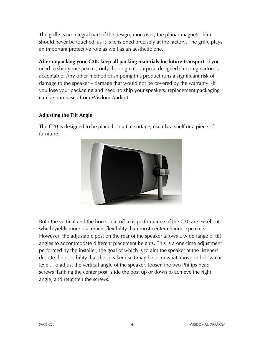The grille is an integral part of the design; moreover, the planar magnetic film should never be touched, as it is tensioned precisely at the factory. The grille plays an important protective role as well as an aesthetic one.

**After unpacking your C20, keep all packing materials for future transport.** If you need to ship your speaker, only the original, purpose-designed shipping carton is acceptable. Any other method of shipping this product runs a significant risk of damage to the speaker – damage that would not be covered by the warranty. (If you lose your packaging and need to ship your speakers, replacement packaging can be purchased from Wisdom Audio.)

#### **Adjusting the Tilt Angle**

The C20 is designed to be placed on a flat surface, usually a shelf or a piece of furniture.



Both the vertical and the horizontal off-axis performance of the C20 are excellent, which yields more placement flexibility than most center channel speakers. However, the adjustable post on the rear of the speaker allows a wide range of tilt angles to accommodate different placement heights. This is a one-time adjustment performed by the installer, the goal of which is to aim the speaker at the listeners despite the possibility that the speaker itself may be somewhat above or below ear level. To adjust the vertical angle of the speaker, loosen the two Philips head screws flanking the center post, slide the post up or down to achieve the right angle, and retighten the screws.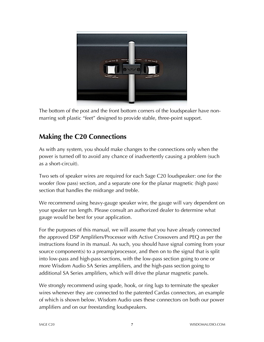

The bottom of the post and the front bottom corners of the loudspeaker have nonmarring soft plastic "feet" designed to provide stable, three-point support.

# **Making the C20 Connections**

As with any system, you should make changes to the connections only when the power is turned off to avoid any chance of inadvertently causing a problem (such as a short-circuit).

Two sets of speaker wires are required for each Sage C20 loudspeaker: one for the woofer (low pass) section, and a separate one for the planar magnetic (high pass) section that handles the midrange and treble.

We recommend using heavy-gauge speaker wire, the gauge will vary dependent on your speaker run length. Please consult an authorized dealer to determine what gauge would be best for your application.

For the purposes of this manual, we will assume that you have already connected the approved DSP Amplifiers/Processor with Active Crossovers and PEQ as per the instructions found in its manual. As such, you should have signal coming from your source component(s) to a preamp/processor, and then on to the signal that is split into low-pass and high-pass sections, with the low-pass section going to one or more Wisdom Audio SA Series amplifiers, and the high-pass section going to additional SA Series amplifiers, which will drive the planar magnetic panels.

We strongly recommend using spade, hook, or ring lugs to terminate the speaker wires whenever they are connected to the patented Cardas connectors, an example of which is shown below. Wisdom Audio uses these connectors on both our power amplifiers and on our freestanding loudspeakers.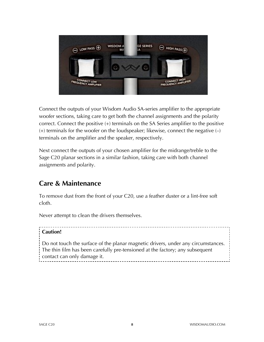

Connect the outputs of your Wisdom Audio SA-series amplifier to the appropriate woofer sections, taking care to get both the channel assignments and the polarity correct. Connect the positive (+) terminals on the SA Series amplifier to the positive  $(+)$  terminals for the woofer on the loudspeaker; likewise, connect the negative  $(-)$ terminals on the amplifier and the speaker, respectively.

Next connect the outputs of your chosen amplifier for the midrange/treble to the Sage C20 planar sections in a similar fashion, taking care with both channel assignments and polarity.

### **Care & Maintenance**

To remove dust from the front of your C20, use a feather duster or a lint-free soft cloth.

Never attempt to clean the drivers themselves.

#### **Caution!**

Do not touch the surface of the planar magnetic drivers, under any circumstances. The thin film has been carefully pre-tensioned at the factory; any subsequent contact can only damage it.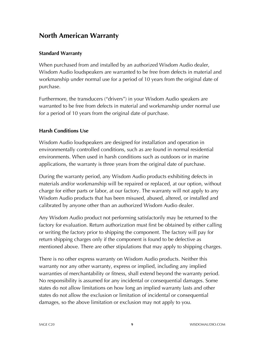### **North American Warranty**

#### **Standard Warranty**

When purchased from and installed by an authorized Wisdom Audio dealer, Wisdom Audio loudspeakers are warranted to be free from defects in material and workmanship under normal use for a period of 10 years from the original date of purchase.

Furthermore, the transducers ("drivers") in your Wisdom Audio speakers are warranted to be free from defects in material and workmanship under normal use for a period of 10 years from the original date of purchase.

#### **Harsh Conditions Use**

Wisdom Audio loudspeakers are designed for installation and operation in environmentally controlled conditions, such as are found in normal residential environments. When used in harsh conditions such as outdoors or in marine applications, the warranty is three years from the original date of purchase.

During the warranty period, any Wisdom Audio products exhibiting defects in materials and/or workmanship will be repaired or replaced, at our option, without charge for either parts or labor, at our factory. The warranty will not apply to any Wisdom Audio products that has been misused, abused, altered, or installed and calibrated by anyone other than an authorized Wisdom Audio dealer.

Any Wisdom Audio product not performing satisfactorily may be returned to the factory for evaluation. Return authorization must first be obtained by either calling or writing the factory prior to shipping the component. The factory will pay for return shipping charges only if the component is found to be defective as mentioned above. There are other stipulations that may apply to shipping charges.

There is no other express warranty on Wisdom Audio products. Neither this warranty nor any other warranty, express or implied, including any implied warranties of merchantability or fitness, shall extend beyond the warranty period. No responsibility is assumed for any incidental or consequential damages. Some states do not allow limitations on how long an implied warranty lasts and other states do not allow the exclusion or limitation of incidental or consequential damages, so the above limitation or exclusion may not apply to you.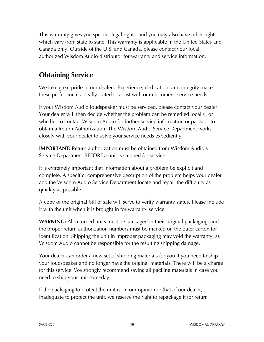This warranty gives you specific legal rights, and you may also have other rights, which vary from state to state. This warranty is applicable in the United States and Canada only. Outside of the U.S. and Canada, please contact your local, authorized Wisdom Audio distributor for warranty and service information.

# **Obtaining Service**

We take great pride in our dealers. Experience, dedication, and integrity make these professionals ideally suited to assist with our customers' service needs.

If your Wisdom Audio loudspeaker must be serviced, please contact your dealer. Your dealer will then decide whether the problem can be remedied locally, or whether to contact Wisdom Audio for further service information or parts, or to obtain a Return Authorization. The Wisdom Audio Service Department works closely with your dealer to solve your service needs expediently.

**IMPORTANT:** Return authorization must be obtained from Wisdom Audio's Service Department BEFORE a unit is shipped for service.

It is extremely important that information about a problem be explicit and complete. A specific, comprehensive description of the problem helps your dealer and the Wisdom Audio Service Department locate and repair the difficulty as quickly as possible.

A copy of the original bill of sale will serve to verify warranty status. Please include it with the unit when it is brought in for warranty service.

**WARNING:** All returned units must be packaged in their original packaging, and the proper return authorization numbers must be marked on the outer carton for identification. Shipping the unit in improper packaging may void the warranty, as Wisdom Audio cannot be responsible for the resulting shipping damage.

Your dealer can order a new set of shipping materials for you if you need to ship your loudspeaker and no longer have the original materials. There will be a charge for this service. We strongly recommend saving all packing materials in case you need to ship your unit someday.

If the packaging to protect the unit is, in our opinion or that of our dealer, inadequate to protect the unit, we reserve the right to repackage it for return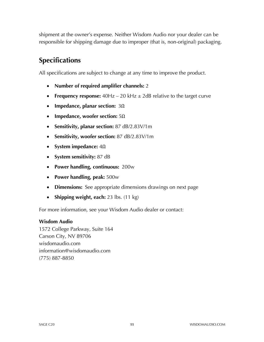shipment at the owner's expense. Neither Wisdom Audio nor your dealer can be responsible for shipping damage due to improper (that is, non-original) packaging.

# **Specifications**

All specifications are subject to change at any time to improve the product.

- **Number of required amplifier channels:** 2
- **Frequency response:** 40Hz 20 kHz  $\pm$  2dB relative to the target curve
- **Impedance, planar section:** 3Ω
- **Impedance, woofer section:** 5Ω
- **Sensitivity, planar section:** 87 dB/2.83V/1m
- **Sensitivity, woofer section:** 87 dB/2.83V/1m
- **System impedance:** 4Ω
- **System sensitivity:** 87 dB
- **Power handling, continuous:** 200w
- **Power handling, peak:** 500w
- **Dimensions:** See appropriate dimensions drawings on next page
- **Shipping weight, each:** 23 lbs. (11 kg)

For more information, see your Wisdom Audio dealer or contact:

#### **Wisdom Audio**

1572 College Parkway, Suite 164 Carson City, NV 89706 wisdomaudio.com information@wisdomaudio.com (775) 887-8850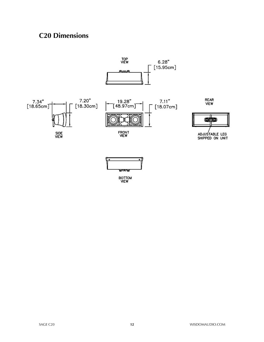# **C20 Dimensions**



BOTTOM<br>VIEW